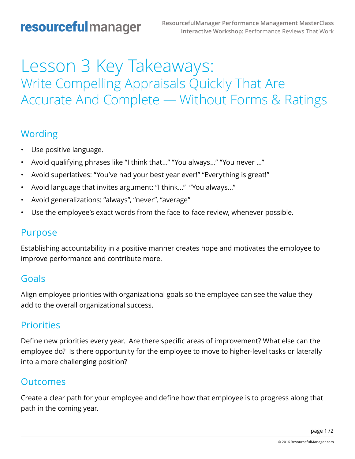# Lesson 3 Key Takeaways: Write Compelling Appraisals Quickly That Are Accurate And Complete — Without Forms & Ratings

#### Wording

- Use positive language.
- Avoid qualifying phrases like "I think that…" "You always…" "You never …"
- Avoid superlatives: "You've had your best year ever!" "Everything is great!"
- Avoid language that invites argument: "I think…" "You always…"
- Avoid generalizations: "always", "never", "average"
- Use the employee's exact words from the face-to-face review, whenever possible.

### Purpose

Establishing accountability in a positive manner creates hope and motivates the employee to improve performance and contribute more.

#### Goals

Align employee priorities with organizational goals so the employee can see the value they add to the overall organizational success.

#### **Priorities**

Define new priorities every year. Are there specific areas of improvement? What else can the employee do? Is there opportunity for the employee to move to higher-level tasks or laterally into a more challenging position?

#### Outcomes

Create a clear path for your employee and define how that employee is to progress along that path in the coming year.